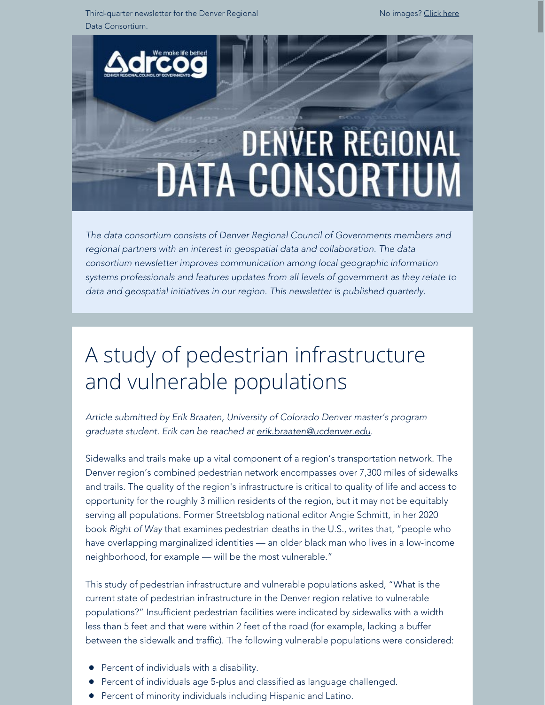Third-quarter newsletter for the Denver Regional Data Consortium.

No images? [Click here](https://drcog.createsend1.com/t/d-e-qkuvil-l-jt/)



*The data consortium consists of Denver Regional Council of Governments members and regional partners with an interest in geospatial data and collaboration. The data consortium newsletter improves communication among local geographic information systems professionals and features updates from all levels of government as they relate to data and geospatial initiatives in our region. This newsletter is published quarterly.*

# A study of pedestrian infrastructure and vulnerable populations

*Article submitted by Erik Braaten, University of Colorado Denver master's program graduate student. Erik can be reached at [erik.braaten@ucdenver.edu](mailto:erik.braaten@ucdenver.edu).*

Sidewalks and trails make up a vital component of a region's transportation network. The Denver region's combined pedestrian network encompasses over 7,300 miles of sidewalks and trails. The quality of the region's infrastructure is critical to quality of life and access to opportunity for the roughly 3 million residents of the region, but it may not be equitably serving all populations. Former Streetsblog national editor Angie Schmitt, in her 2020 book *Right of Way* that examines pedestrian deaths in the U.S., writes that, "people who have overlapping marginalized identities — an older black man who lives in a low-income neighborhood, for example — will be the most vulnerable."

This study of pedestrian infrastructure and vulnerable populations asked, "What is the current state of pedestrian infrastructure in the Denver region relative to vulnerable populations?" Insufficient pedestrian facilities were indicated by sidewalks with a width less than 5 feet and that were within 2 feet of the road (for example, lacking a buffer between the sidewalk and traffic). The following vulnerable populations were considered:

- Percent of individuals with a disability.
- Percent of individuals age 5-plus and classified as language challenged.
- **•** Percent of minority individuals including Hispanic and Latino.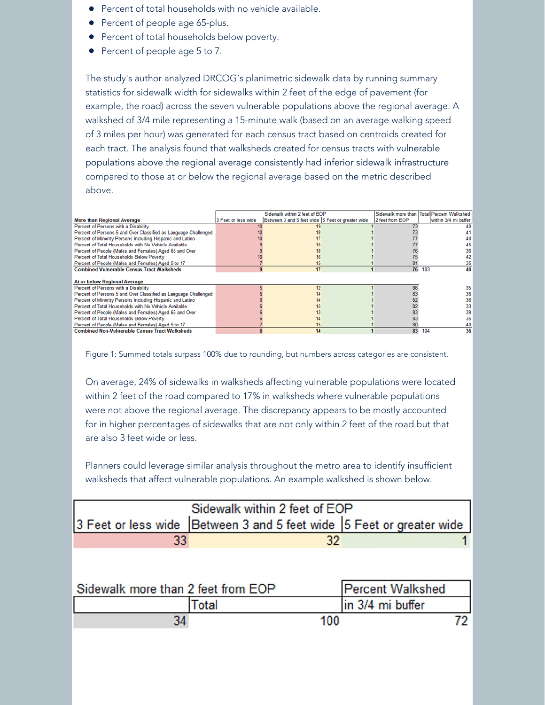- **•** Percent of total households with no vehicle available.
- Percent of people age 65-plus.
- **•** Percent of total households below poverty.
- Percent of people age 5 to 7.

The study's author analyzed DRCOG's planimetric sidewalk data by running summary statistics for sidewalk width for sidewalks within 2 feet of the edge of pavement (for example, the road) across the seven vulnerable populations above the regional average. A walkshed of 3/4 mile representing a 15-minute walk (based on an average walking speed of 3 miles per hour) was generated for each census tract based on centroids created for each tract. The analysis found that walksheds created for census tracts with vulnerable populations above the regional average consistently had inferior sidewalk infrastructure compared to those at or below the regional average based on the metric described above.

|                                                                 |                     | Sidewalk within 2 feet of EOP                    |                 | Sidewalk more than Total Percent Walkshed |
|-----------------------------------------------------------------|---------------------|--------------------------------------------------|-----------------|-------------------------------------------|
| <b>More than Regional Average</b>                               | 3 Feet or less wide | Between 3 and 5 feet wide 5 Feet or greater wide | 2 feet from EOP | within 3/4 mi buffer                      |
| Percent of Persons with a Disability                            |                     |                                                  |                 |                                           |
| Percent of Persons 5 and Over Classified as Language Challenged |                     |                                                  |                 |                                           |
| Percent of Minority Persons Including Hispanic and Latino       |                     |                                                  |                 |                                           |
| Percent of Total Households with No Vehicle Available           |                     |                                                  |                 | 45                                        |
| Percent of People (Males and Females) Aged 65 and Over          |                     | 18                                               |                 | 36                                        |
| Percent of Total Households Below Poverty                       |                     | 16                                               |                 | 42                                        |
| Percent of People (Males and Females) Aged 5 to 17              |                     | 15                                               | 81              | 35                                        |
| <b>Combined Vulnerable Census Tract Walksheds</b>               |                     | 17                                               |                 | 76 103<br>40                              |
|                                                                 |                     |                                                  |                 |                                           |
| <b>At or below Regional Average</b>                             |                     |                                                  |                 |                                           |
| Percent of Persons with a Disability                            |                     | 12                                               | 86              | 35                                        |
| Percent of Persons 5 and Over Classified as Language Challenged |                     |                                                  |                 | 36                                        |
| Percent of Minority Persons Including Hispanic and Latino       |                     |                                                  |                 | 36                                        |
| Percent of Total Households with No Vehicle Available           |                     |                                                  |                 | 33                                        |
| Percent of People (Males and Females) Aged 65 and Over          |                     |                                                  |                 | 39                                        |
| Percent of Total Households Below Poverty                       |                     |                                                  |                 | 35                                        |
| Percent of People (Males and Females) Aged 5 to 17              |                     | 15                                               | 80              | 40                                        |
| <b>Combined Non-Vulnerable Census Tract Walksheds</b>           |                     | 14                                               | 83              | 36<br>104                                 |
|                                                                 |                     |                                                  |                 |                                           |

Figure 1: Summed totals surpass 100% due to rounding, but numbers across categories are consistent.

On average, 24% of sidewalks in walksheds affecting vulnerable populations were located within 2 feet of the road compared to 17% in walksheds where vulnerable populations were not above the regional average. The discrepancy appears to be mostly accounted for in higher percentages of sidewalks that are not only within 2 feet of the road but that are also 3 feet wide or less.

Planners could leverage similar analysis throughout the metro area to identify insufficient walksheds that affect vulnerable populations. An example walkshed is shown below.

| Sidewalk within 2 feet of EOP      |                                                                      |                         |  |  |  |
|------------------------------------|----------------------------------------------------------------------|-------------------------|--|--|--|
|                                    | 3 Feet or less wide Between 3 and 5 feet wide 5 Feet or greater wide |                         |  |  |  |
| 33                                 | 32                                                                   |                         |  |  |  |
|                                    |                                                                      |                         |  |  |  |
|                                    |                                                                      |                         |  |  |  |
| Sidewalk more than 2 feet from EOP |                                                                      | <b>Percent Walkshed</b> |  |  |  |
|                                    | Total                                                                | in 3/4 mi buffer        |  |  |  |
|                                    | 100                                                                  |                         |  |  |  |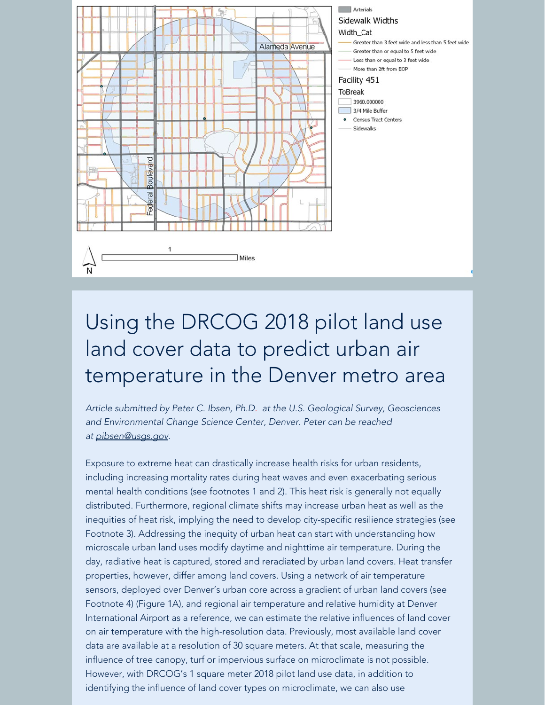

# Using the DRCOG 2018 pilot land use land cover data to predict urban air temperature in the Denver metro area

*Article submitted by Peter C. Ibsen, Ph.D. at the U.S. Geological Survey, Geosciences and Environmental Change Science Center, Denver. Peter can be reached at [pibsen@usgs.gov](mailto:pibsen@usgs.gov).*

Exposure to extreme heat can drastically increase health risks for urban residents, including increasing mortality rates during heat waves and even exacerbating serious mental health conditions (see footnotes 1 and 2). This heat risk is generally not equally distributed. Furthermore, regional climate shifts may increase urban heat as well as the inequities of heat risk, implying the need to develop city-specific resilience strategies (see Footnote 3). Addressing the inequity of urban heat can start with understanding how microscale urban land uses modify daytime and nighttime air temperature. During the day, radiative heat is captured, stored and reradiated by urban land covers. Heat transfer properties, however, differ among land covers. Using a network of air temperature sensors, deployed over Denver's urban core across a gradient of urban land covers (see Footnote 4) (Figure 1A), and regional air temperature and relative humidity at Denver International Airport as a reference, we can estimate the relative influences of land cover on air temperature with the high-resolution data. Previously, most available land cover data are available at a resolution of 30 square meters. At that scale, measuring the influence of tree canopy, turf or impervious surface on microclimate is not possible. However, with DRCOG's 1 square meter 2018 pilot land use data, in addition to identifying the influence of land cover types on microclimate, we can also use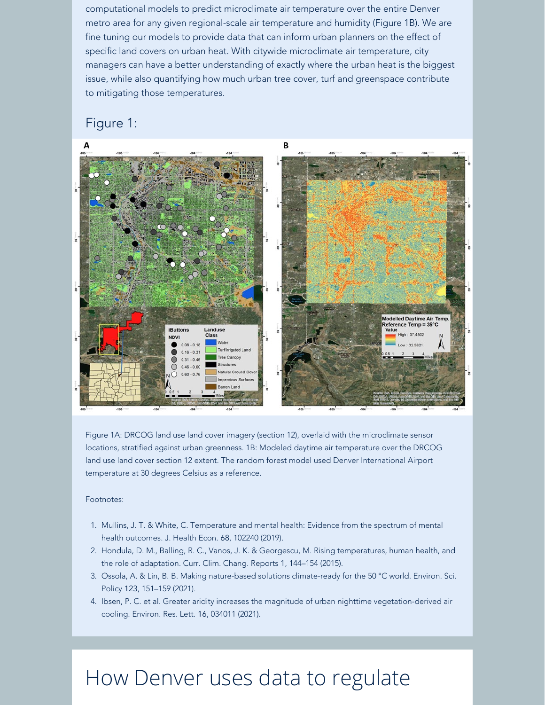computational models to predict microclimate air temperature over the entire Denver metro area for any given regional-scale air temperature and humidity (Figure 1B). We are fine tuning our models to provide data that can inform urban planners on the effect of specific land covers on urban heat. With citywide microclimate air temperature, city managers can have a better understanding of exactly where the urban heat is the biggest issue, while also quantifying how much urban tree cover, turf and greenspace contribute to mitigating those temperatures.

#### Figure 1:



Figure 1A: DRCOG land use land cover imagery (section 12), overlaid with the microclimate sensor locations, stratified against urban greenness. 1B: Modeled daytime air temperature over the DRCOG land use land cover section 12 extent. The random forest model used Denver International Airport temperature at 30 degrees Celsius as a reference.

#### Footnotes:

- 1. Mullins, J. T. & White, C. Temperature and mental health: Evidence from the spectrum of mental health outcomes. J. Health Econ. 68, 102240 (2019).
- 2. Hondula, D. M., Balling, R. C., Vanos, J. K. & Georgescu, M. Rising temperatures, human health, and the role of adaptation. Curr. Clim. Chang. Reports 1, 144–154 (2015).
- 3. Ossola, A. & Lin, B. B. Making nature-based solutions climate-ready for the 50 °C world. Environ. Sci. Policy 123, 151–159 (2021).
- 4. Ibsen, P. C. et al. Greater aridity increases the magnitude of urban nighttime vegetation-derived air cooling. Environ. Res. Lett. 16, 034011 (2021).

## How Denver uses data to regulate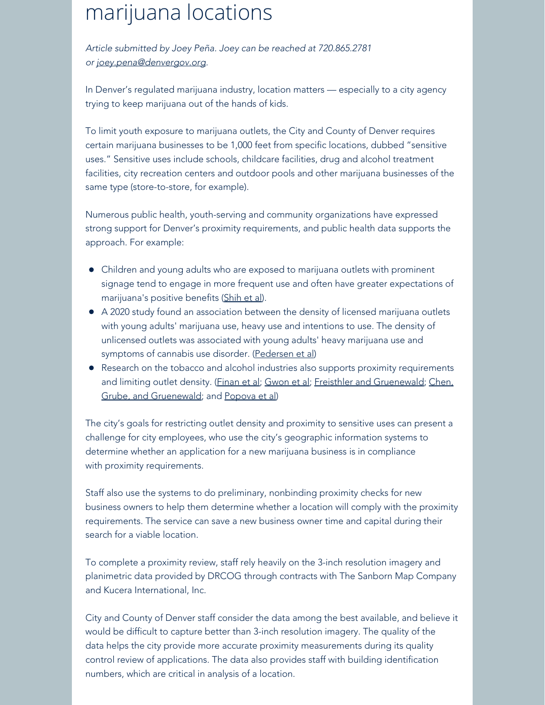# marijuana locations

*Article submitted by Joey Peña. Joey can be reached at 720.865.2781 or [joey.pena@denvergov.org](mailto:joey.pena@denvergov.org).*

In Denver's regulated marijuana industry, location matters — especially to a city agency trying to keep marijuana out of the hands of kids.

To limit youth exposure to marijuana outlets, the City and County of Denver requires certain marijuana businesses to be 1,000 feet from specific locations, dubbed "sensitive uses." Sensitive uses include schools, childcare facilities, drug and alcohol treatment facilities, city recreation centers and outdoor pools and other marijuana businesses of the same type (store-to-store, for example).

Numerous public health, youth-serving and community organizations have expressed strong support for Denver's proximity requirements, and public health data supports the approach. For example:

- Children and young adults who are exposed to marijuana outlets with prominent signage tend to engage in more frequent use and often have greater expectations of marijuana's positive benefits [\(Shih et al](https://drcog.createsend1.com/t/d-l-qkuvil-l-y/)).
- A 2020 study found an association between the density of licensed marijuana outlets with young adults' marijuana use, heavy use and intentions to use. The density of unlicensed outlets was associated with young adults' heavy marijuana use and symptoms of cannabis use disorder. [\(Pedersen et al](https://drcog.createsend1.com/t/d-l-qkuvil-l-j/))
- Research on the tobacco and alcohol industries also supports proximity requirements and limiting outlet density. [\(Finan et al](https://drcog.createsend1.com/t/d-l-qkuvil-l-t/); [Gwon et al](https://drcog.createsend1.com/t/d-l-qkuvil-l-i/); [Freisthler and Gruenewald](https://drcog.createsend1.com/t/d-l-qkuvil-l-d/); [Chen,](https://drcog.createsend1.com/t/d-l-qkuvil-l-h/) [Grube, and Gruenewald](https://drcog.createsend1.com/t/d-l-qkuvil-l-h/); and [Popova et al](https://drcog.createsend1.com/t/d-l-qkuvil-l-k/))

The city's goals for restricting outlet density and proximity to sensitive uses can present a challenge for city employees, who use the city's geographic information systems to determine whether an application for a new marijuana business is in compliance with proximity requirements.

Staff also use the systems to do preliminary, nonbinding proximity checks for new business owners to help them determine whether a location will comply with the proximity requirements. The service can save a new business owner time and capital during their search for a viable location.

To complete a proximity review, staff rely heavily on the 3-inch resolution imagery and planimetric data provided by DRCOG through contracts with The Sanborn Map Company and Kucera International, Inc.

City and County of Denver staff consider the data among the best available, and believe it would be difficult to capture better than 3-inch resolution imagery. The quality of the data helps the city provide more accurate proximity measurements during its quality control review of applications. The data also provides staff with building identification numbers, which are critical in analysis of a location.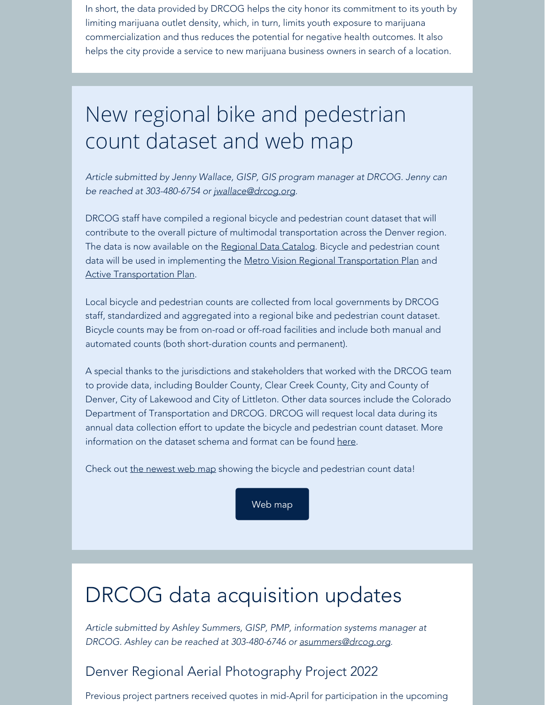In short, the data provided by DRCOG helps the city honor its commitment to its youth by limiting marijuana outlet density, which, in turn, limits youth exposure to marijuana commercialization and thus reduces the potential for negative health outcomes. It also helps the city provide a service to new marijuana business owners in search of a location.

# New regional bike and pedestrian count dataset and web map

*Article submitted by Jenny Wallace, GISP, GIS program manager at DRCOG. Jenny can be reached at 303-480-6754 or [jwallace@drcog.org.](mailto:jwallace@drcog.org)*

DRCOG staff have compiled a regional bicycle and pedestrian count dataset that will contribute to the overall picture of multimodal transportation across the Denver region. The data is now available on the [Regional Data Catalog](https://drcog.createsend1.com/t/d-l-qkuvil-l-u/). Bicycle and pedestrian count data will be used in implementing the [Metro Vision Regional Transportation Plan](https://drcog.createsend1.com/t/d-l-qkuvil-l-o/) and **[Active Transportation Plan](https://drcog.createsend1.com/t/d-l-qkuvil-l-b/).** 

Local bicycle and pedestrian counts are collected from local governments by DRCOG staff, standardized and aggregated into a regional bike and pedestrian count dataset. Bicycle counts may be from on-road or off-road facilities and include both manual and automated counts (both short-duration counts and permanent).

A special thanks to the jurisdictions and stakeholders that worked with the DRCOG team to provide data, including Boulder County, Clear Creek County, City and County of Denver, City of Lakewood and City of Littleton. Other data sources include the Colorado Department of Transportation and DRCOG. DRCOG will request local data during its annual data collection effort to update the bicycle and pedestrian count dataset. More information on the dataset schema and format can be found [here.](https://drcog.createsend1.com/t/d-l-qkuvil-l-n/)

Check out the [newest web map](https://drcog.createsend1.com/t/d-l-qkuvil-l-p/) showing the bicycle and pedestrian count data!

[Web map](https://drcog.createsend1.com/t/d-l-qkuvil-l-m/)

## DRCOG data acquisition updates

*Article submitted by Ashley Summers, GISP, PMP, information systems manager at DRCOG. Ashley can be reached at 303-480-6746 or [asummers@drcog.org](mailto:asummers@drcog.org).*

### Denver Regional Aerial Photography Project 2022

Previous project partners received quotes in mid-April for participation in the upcoming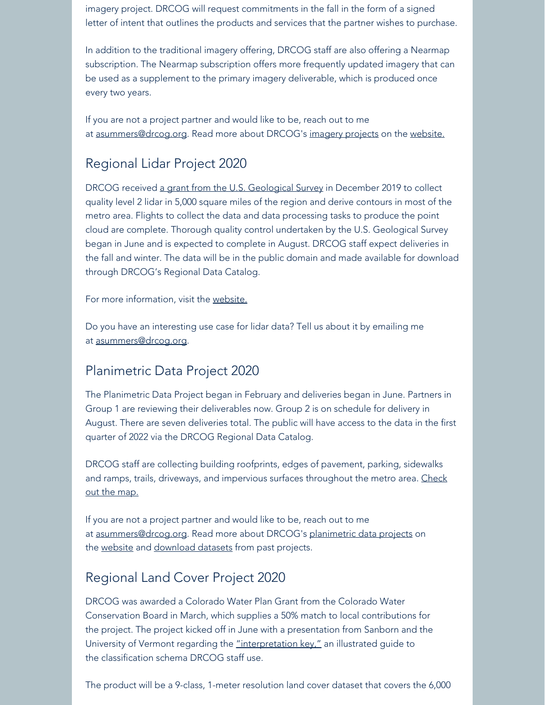imagery project. DRCOG will request commitments in the fall in the form of a signed letter of intent that outlines the products and services that the partner wishes to purchase.

In addition to the traditional imagery offering, DRCOG staff are also offering a Nearmap subscription. The Nearmap subscription offers more frequently updated imagery that can be used as a supplement to the primary imagery deliverable, which is produced once every two years.

If you are not a project partner and would like to be, reach out to me at [asummers@drcog.org](mailto:asummers@drcog.org). Read more about DRCOG's [imagery projects](https://drcog.createsend1.com/t/d-l-qkuvil-l-c/) on the [website.](https://drcog.createsend1.com/t/d-l-qkuvil-l-q/)

### Regional Lidar Project 2020

DRCOG received [a grant from the U.S. Geological S](https://drcog.createsend1.com/t/d-l-qkuvil-l-a/)[urvey](https://drcog.createsend1.com/t/d-l-qkuvil-l-z/) in December 2019 to collect quality level 2 lidar in 5,000 square miles of the region and derive contours in most of the metro area. Flights to collect the data and data processing tasks to produce the point cloud are complete. Thorough quality control undertaken by the U.S. Geological Survey began in June and is expected to complete in August. DRCOG staff expect deliveries in the fall and winter. The data will be in the public domain and made available for download through DRCOG's Regional Data Catalog.

For more information, visit the [website.](https://drcog.createsend1.com/t/d-l-qkuvil-l-v/)

Do you have an interesting use case for lidar data? Tell us about it by emailing me at [asummers@drcog.org](mailto:asummers@drcog.org).

### Planimetric Data Project 2020

The Planimetric Data Project began in February and deliveries began in June. Partners in Group 1 are reviewing their deliverables now. Group 2 is on schedule for delivery in August. There are seven deliveries total. The public will have access to the data in the first quarter of 2022 via the DRCOG Regional Data Catalog.

DRCOG staff are collecting building roofprints, edges of pavement, parking, sidewalks and ramps, trails, driveways, and impervious surfaces throughout the metro area. [Check](https://drcog.createsend1.com/t/d-l-qkuvil-l-e/) [out the map.](https://drcog.createsend1.com/t/d-l-qkuvil-l-e/)

If you are not a project partner and would like to be, reach out to me at [asummers@drcog.org](mailto:asummers@drcog.org). Read more about DRCOG's [planimetric data projects](https://drcog.createsend1.com/t/d-l-qkuvil-l-s/) on the [website](https://drcog.createsend1.com/t/d-l-qkuvil-l-g/) and [download datasets](https://drcog.createsend1.com/t/d-l-qkuvil-l-w/) from past projects.

#### Regional Land Cover Project 2020

DRCOG was awarded a Colorado Water Plan Grant from the Colorado Water Conservation Board in March, which supplies a 50% match to local contributions for the project. The project kicked off in June with a presentation from Sanborn and the University of Vermont regarding the ["interpretation key,"](https://drcog.createsend1.com/t/d-l-qkuvil-l-yd/) an illustrated guide to the classification schema DRCOG staff use.

The product will be a 9-class, 1-meter resolution land cover dataset that covers the 6,000